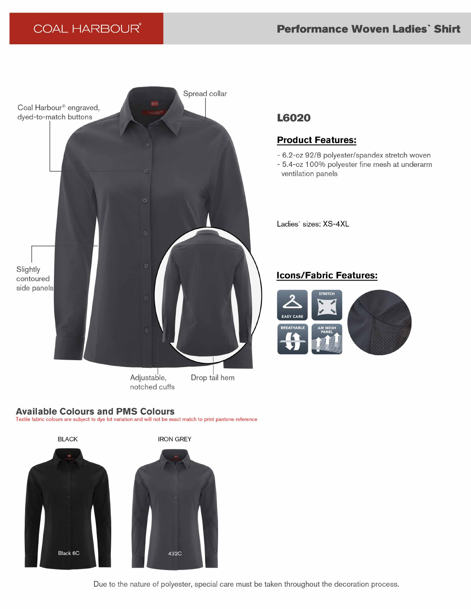

Adjustable, notched cuffs

Drop tail hem

### **Available Colours and PMS Colours**

Textile fabric colours are subject to dye lot variation and will not be exact match to print pantone reference



# **L6020**

## **Product Features:**

- 6.2-oz 92/8 polyester/spandex stretch woven
- 5.4-oz 100% polyester fine mesh at underarm ventilation panels

Ladies' sizes: XS-4XL

## **Icons/Fabric Features:**



Due to the nature of polyester, special care must be taken throughout the decoration process.